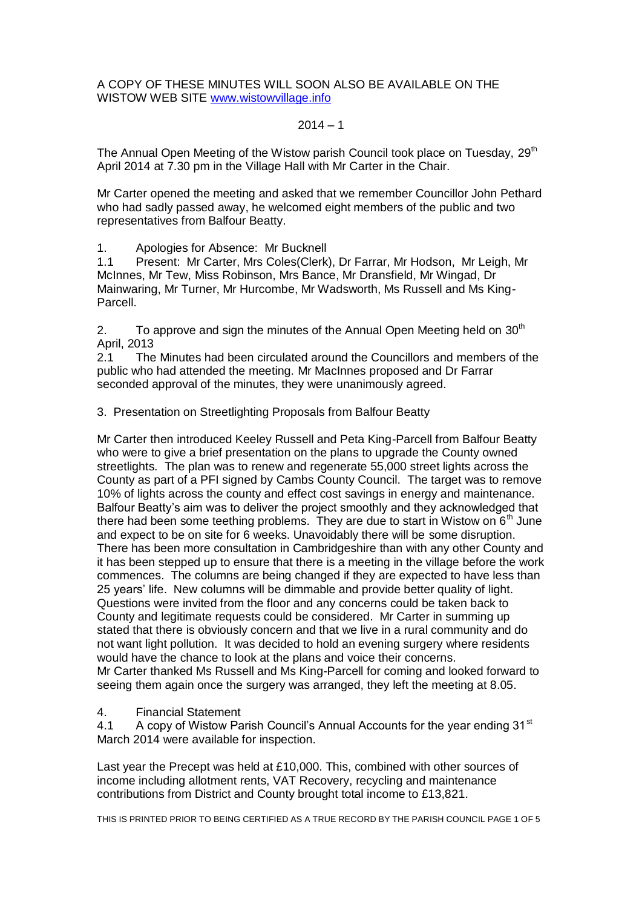A COPY OF THESE MINUTES WILL SOON ALSO BE AVAILABLE ON THE WISTOW WEB SITE [www.wistowvillage.info](http://www.wistowvillage.info/)

### $2014 - 1$

The Annual Open Meeting of the Wistow parish Council took place on Tuesday,  $29<sup>th</sup>$ April 2014 at 7.30 pm in the Village Hall with Mr Carter in the Chair.

Mr Carter opened the meeting and asked that we remember Councillor John Pethard who had sadly passed away, he welcomed eight members of the public and two representatives from Balfour Beatty.

1. Apologies for Absence: Mr Bucknell

1.1 Present: Mr Carter, Mrs Coles(Clerk), Dr Farrar, Mr Hodson, Mr Leigh, Mr McInnes, Mr Tew, Miss Robinson, Mrs Bance, Mr Dransfield, Mr Wingad, Dr Mainwaring, Mr Turner, Mr Hurcombe, Mr Wadsworth, Ms Russell and Ms King-Parcell.

2. To approve and sign the minutes of the Annual Open Meeting held on  $30<sup>th</sup>$ April, 2013

2.1 The Minutes had been circulated around the Councillors and members of the public who had attended the meeting. Mr MacInnes proposed and Dr Farrar seconded approval of the minutes, they were unanimously agreed.

3. Presentation on Streetlighting Proposals from Balfour Beatty

Mr Carter then introduced Keeley Russell and Peta King-Parcell from Balfour Beatty who were to give a brief presentation on the plans to upgrade the County owned streetlights. The plan was to renew and regenerate 55,000 street lights across the County as part of a PFI signed by Cambs County Council. The target was to remove 10% of lights across the county and effect cost savings in energy and maintenance. Balfour Beatty's aim was to deliver the project smoothly and they acknowledged that there had been some teething problems. They are due to start in Wistow on  $6<sup>th</sup>$  June and expect to be on site for 6 weeks. Unavoidably there will be some disruption. There has been more consultation in Cambridgeshire than with any other County and it has been stepped up to ensure that there is a meeting in the village before the work commences. The columns are being changed if they are expected to have less than 25 years' life. New columns will be dimmable and provide better quality of light. Questions were invited from the floor and any concerns could be taken back to County and legitimate requests could be considered. Mr Carter in summing up stated that there is obviously concern and that we live in a rural community and do not want light pollution. It was decided to hold an evening surgery where residents would have the chance to look at the plans and voice their concerns. Mr Carter thanked Ms Russell and Ms King-Parcell for coming and looked forward to seeing them again once the surgery was arranged, they left the meeting at 8.05.

#### 4. Financial Statement

4.1 A copy of Wistow Parish Council's Annual Accounts for the year ending 31<sup>st</sup> March 2014 were available for inspection.

Last year the Precept was held at £10,000. This, combined with other sources of income including allotment rents, VAT Recovery, recycling and maintenance contributions from District and County brought total income to £13,821.

THIS IS PRINTED PRIOR TO BEING CERTIFIED AS A TRUE RECORD BY THE PARISH COUNCIL PAGE 1 OF 5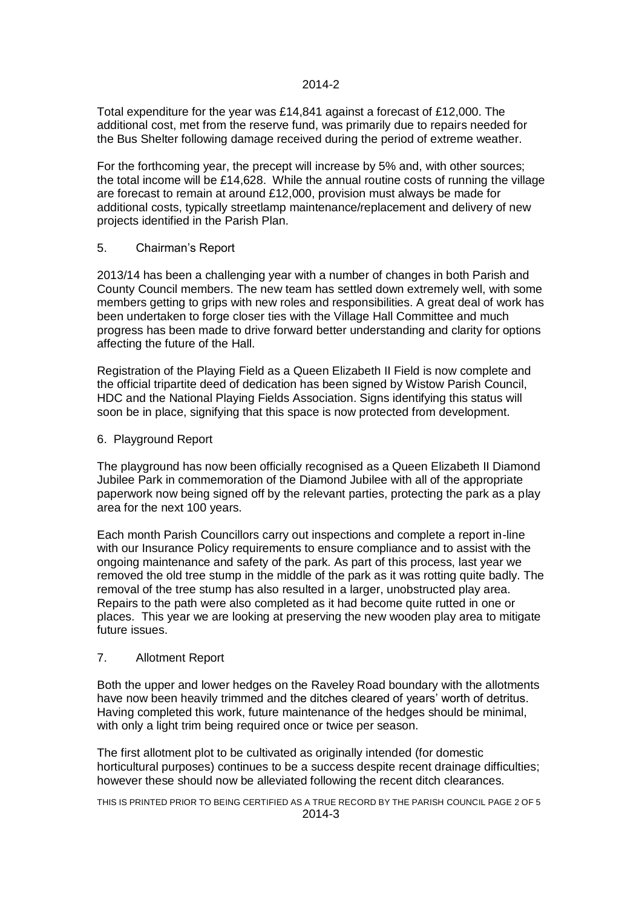### 2014-2

Total expenditure for the year was £14,841 against a forecast of £12,000. The additional cost, met from the reserve fund, was primarily due to repairs needed for the Bus Shelter following damage received during the period of extreme weather.

For the forthcoming year, the precept will increase by 5% and, with other sources; the total income will be £14,628. While the annual routine costs of running the village are forecast to remain at around £12,000, provision must always be made for additional costs, typically streetlamp maintenance/replacement and delivery of new projects identified in the Parish Plan.

### 5. Chairman's Report

2013/14 has been a challenging year with a number of changes in both Parish and County Council members. The new team has settled down extremely well, with some members getting to grips with new roles and responsibilities. A great deal of work has been undertaken to forge closer ties with the Village Hall Committee and much progress has been made to drive forward better understanding and clarity for options affecting the future of the Hall.

Registration of the Playing Field as a Queen Elizabeth II Field is now complete and the official tripartite deed of dedication has been signed by Wistow Parish Council, HDC and the National Playing Fields Association. Signs identifying this status will soon be in place, signifying that this space is now protected from development.

### 6. Playground Report

The playground has now been officially recognised as a Queen Elizabeth II Diamond Jubilee Park in commemoration of the Diamond Jubilee with all of the appropriate paperwork now being signed off by the relevant parties, protecting the park as a play area for the next 100 years.

Each month Parish Councillors carry out inspections and complete a report in-line with our Insurance Policy requirements to ensure compliance and to assist with the ongoing maintenance and safety of the park. As part of this process, last year we removed the old tree stump in the middle of the park as it was rotting quite badly. The removal of the tree stump has also resulted in a larger, unobstructed play area. Repairs to the path were also completed as it had become quite rutted in one or places. This year we are looking at preserving the new wooden play area to mitigate future issues.

#### 7. Allotment Report

Both the upper and lower hedges on the Raveley Road boundary with the allotments have now been heavily trimmed and the ditches cleared of years' worth of detritus. Having completed this work, future maintenance of the hedges should be minimal, with only a light trim being required once or twice per season.

The first allotment plot to be cultivated as originally intended (for domestic horticultural purposes) continues to be a success despite recent drainage difficulties; however these should now be alleviated following the recent ditch clearances.

THIS IS PRINTED PRIOR TO BEING CERTIFIED AS A TRUE RECORD BY THE PARISH COUNCIL PAGE 2 OF 5 2014-3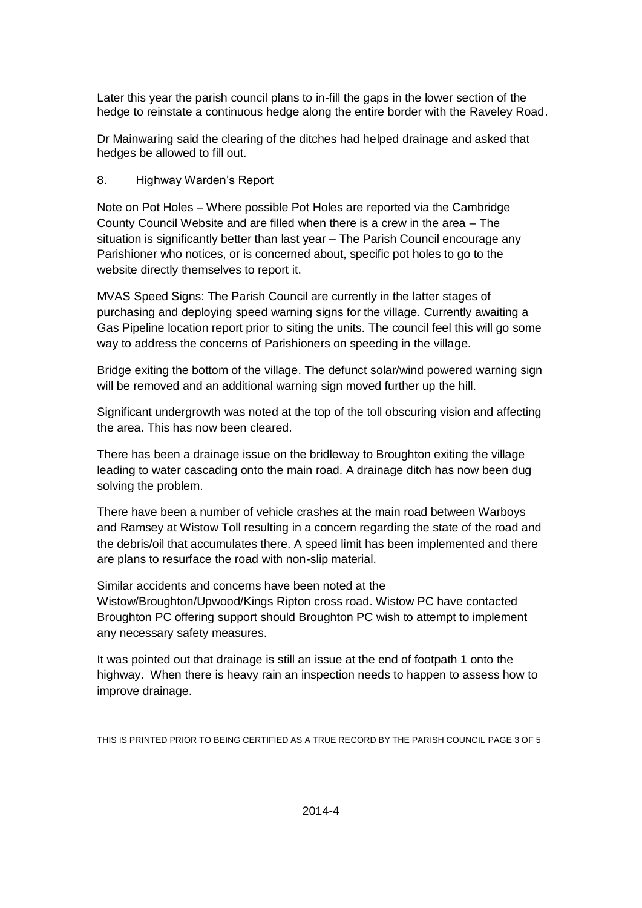Later this year the parish council plans to in-fill the gaps in the lower section of the hedge to reinstate a continuous hedge along the entire border with the Raveley Road.

Dr Mainwaring said the clearing of the ditches had helped drainage and asked that hedges be allowed to fill out.

# 8. Highway Warden's Report

Note on Pot Holes – Where possible Pot Holes are reported via the Cambridge County Council Website and are filled when there is a crew in the area – The situation is significantly better than last year – The Parish Council encourage any Parishioner who notices, or is concerned about, specific pot holes to go to the website directly themselves to report it.

MVAS Speed Signs: The Parish Council are currently in the latter stages of purchasing and deploying speed warning signs for the village. Currently awaiting a Gas Pipeline location report prior to siting the units. The council feel this will go some way to address the concerns of Parishioners on speeding in the village.

Bridge exiting the bottom of the village. The defunct solar/wind powered warning sign will be removed and an additional warning sign moved further up the hill.

Significant undergrowth was noted at the top of the toll obscuring vision and affecting the area. This has now been cleared.

There has been a drainage issue on the bridleway to Broughton exiting the village leading to water cascading onto the main road. A drainage ditch has now been dug solving the problem.

There have been a number of vehicle crashes at the main road between Warboys and Ramsey at Wistow Toll resulting in a concern regarding the state of the road and the debris/oil that accumulates there. A speed limit has been implemented and there are plans to resurface the road with non-slip material.

Similar accidents and concerns have been noted at the Wistow/Broughton/Upwood/Kings Ripton cross road. Wistow PC have contacted Broughton PC offering support should Broughton PC wish to attempt to implement any necessary safety measures.

It was pointed out that drainage is still an issue at the end of footpath 1 onto the highway. When there is heavy rain an inspection needs to happen to assess how to improve drainage.

THIS IS PRINTED PRIOR TO BEING CERTIFIED AS A TRUE RECORD BY THE PARISH COUNCIL PAGE 3 OF 5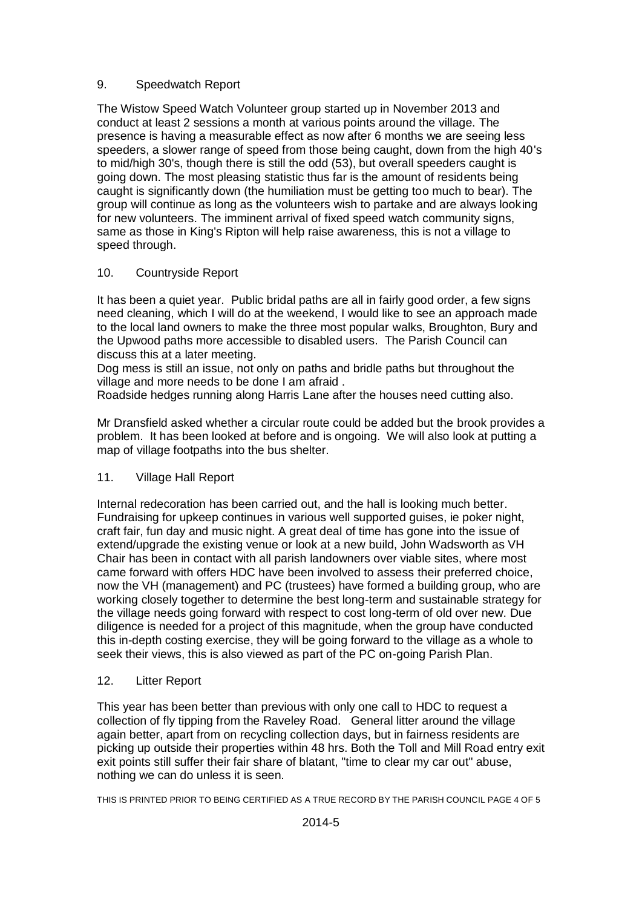## 9. Speedwatch Report

The Wistow Speed Watch Volunteer group started up in November 2013 and conduct at least 2 sessions a month at various points around the village. The presence is having a measurable effect as now after 6 months we are seeing less speeders, a slower range of speed from those being caught, down from the high 40's to mid/high 30's, though there is still the odd (53), but overall speeders caught is going down. The most pleasing statistic thus far is the amount of residents being caught is significantly down (the humiliation must be getting too much to bear). The group will continue as long as the volunteers wish to partake and are always looking for new volunteers. The imminent arrival of fixed speed watch community signs, same as those in King's Ripton will help raise awareness, this is not a village to speed through.

## 10. Countryside Report

It has been a quiet year. Public bridal paths are all in fairly good order, a few signs need cleaning, which I will do at the weekend, I would like to see an approach made to the local land owners to make the three most popular walks, Broughton, Bury and the Upwood paths more accessible to disabled users. The Parish Council can discuss this at a later meeting.

Dog mess is still an issue, not only on paths and bridle paths but throughout the village and more needs to be done I am afraid .

Roadside hedges running along Harris Lane after the houses need cutting also.

Mr Dransfield asked whether a circular route could be added but the brook provides a problem. It has been looked at before and is ongoing. We will also look at putting a map of village footpaths into the bus shelter.

# 11. Village Hall Report

Internal redecoration has been carried out, and the hall is looking much better. Fundraising for upkeep continues in various well supported guises, ie poker night, craft fair, fun day and music night. A great deal of time has gone into the issue of extend/upgrade the existing venue or look at a new build, John Wadsworth as VH Chair has been in contact with all parish landowners over viable sites, where most came forward with offers HDC have been involved to assess their preferred choice, now the VH (management) and PC (trustees) have formed a building group, who are working closely together to determine the best long-term and sustainable strategy for the village needs going forward with respect to cost long-term of old over new. Due diligence is needed for a project of this magnitude, when the group have conducted this in-depth costing exercise, they will be going forward to the village as a whole to seek their views, this is also viewed as part of the PC on-going Parish Plan.

## 12. Litter Report

This year has been better than previous with only one call to HDC to request a collection of fly tipping from the Raveley Road. General litter around the village again better, apart from on recycling collection days, but in fairness residents are picking up outside their properties within 48 hrs. Both the Toll and Mill Road entry exit exit points still suffer their fair share of blatant, "time to clear my car out" abuse, nothing we can do unless it is seen.

THIS IS PRINTED PRIOR TO BEING CERTIFIED AS A TRUE RECORD BY THE PARISH COUNCIL PAGE 4 OF 5